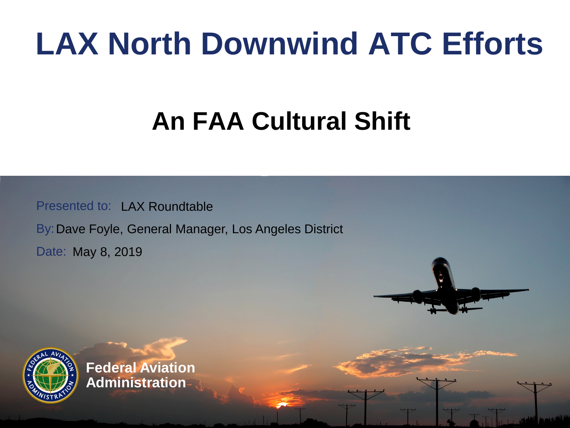## **LAX North Downwind ATC Efforts**

### **An FAA Cultural Shift**

Presented to: LAX Roundtable

By: Dave Foyle, General Manager, Los Angeles District

Date: May 8, 2019



**Federal Aviation Administration**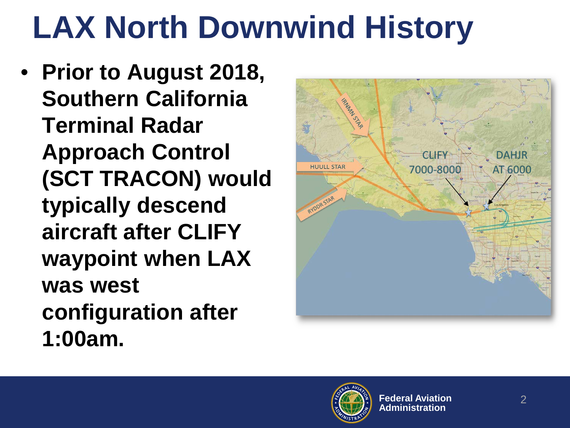# **LAX North Downwind History**

• **Prior to August 2018, Southern California Terminal Radar Approach Control (SCT TRACON) would typically descend aircraft after CLIFY waypoint when LAX was west configuration after 1:00am.**



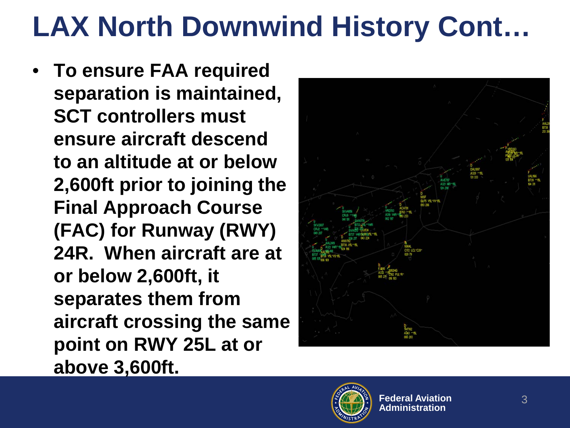## **LAX North Downwind History Cont…**

• **To ensure FAA required separation is maintained, SCT controllers must ensure aircraft descend to an altitude at or below 2,600ft prior to joining the Final Approach Course (FAC) for Runway (RWY) 24R. When aircraft are at or below 2,600ft, it separates them from aircraft crossing the same point on RWY 25L at or above 3,600ft.**



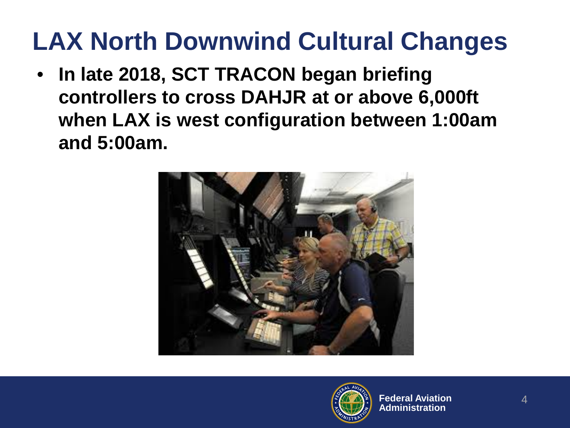#### **LAX North Downwind Cultural Changes**

• **In late 2018, SCT TRACON began briefing controllers to cross DAHJR at or above 6,000ft when LAX is west configuration between 1:00am and 5:00am.**



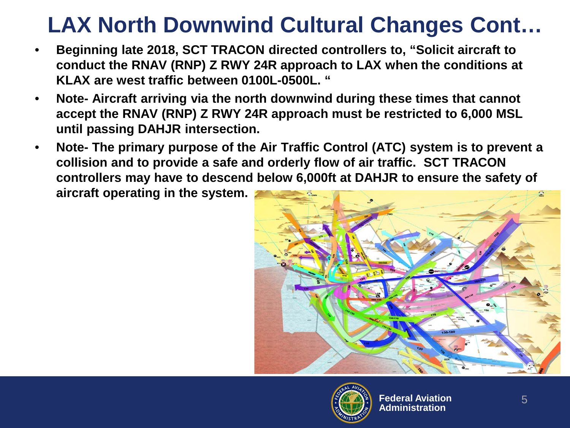#### **LAX North Downwind Cultural Changes Cont…**

- **Beginning late 2018, SCT TRACON directed controllers to, "Solicit aircraft to conduct the RNAV (RNP) Z RWY 24R approach to LAX when the conditions at KLAX are west traffic between 0100L-0500L. "**
- **Note- Aircraft arriving via the north downwind during these times that cannot accept the RNAV (RNP) Z RWY 24R approach must be restricted to 6,000 MSL until passing DAHJR intersection.**
- **Note- The primary purpose of the Air Traffic Control (ATC) system is to prevent a collision and to provide a safe and orderly flow of air traffic. SCT TRACON controllers may have to descend below 6,000ft at DAHJR to ensure the safety of aircraft operating in the system.**



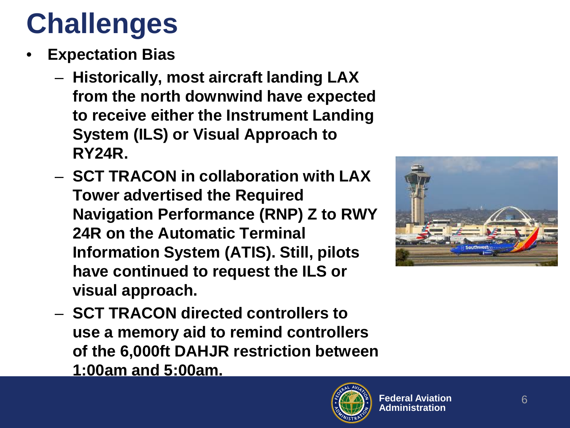## **Challenges**

- **Expectation Bias**
	- **Historically, most aircraft landing LAX from the north downwind have expected to receive either the Instrument Landing System (ILS) or Visual Approach to RY24R.**
	- **SCT TRACON in collaboration with LAX Tower advertised the Required Navigation Performance (RNP) Z to RWY 24R on the Automatic Terminal Information System (ATIS). Still, pilots have continued to request the ILS or visual approach.**



– **SCT TRACON directed controllers to use a memory aid to remind controllers of the 6,000ft DAHJR restriction between 1:00am and 5:00am.**